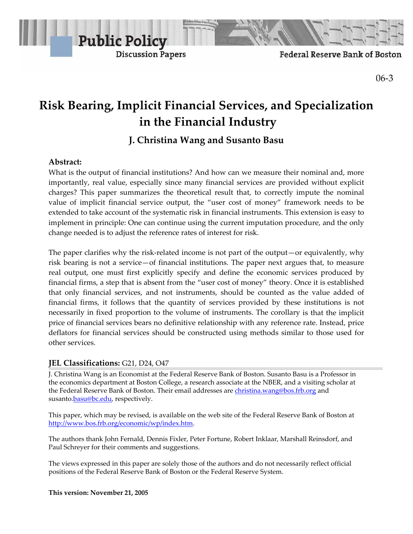

Federal Reserve Bank of Boston

06‐3

# **Risk Bearing, Implicit Financial Services, and Specialization in the Financial Industry**

# **J. Christina Wang and Susanto Basu**

# **Abstract:**

What is the output of financial institutions? And how can we measure their nominal and, more importantly, real value, especially since many financial services are provided without explicit charges? This paper summarizes the theoretical result that, to correctly impute the nominal value of implicit financial service output, the "user cost of money" framework needs to be extended to take account of the systematic risk in financial instruments. This extension is easy to implement in principle: One can continue using the current imputation procedure, and the only change needed is to adjust the reference rates of interest for risk.

The paper clarifies why the risk-related income is not part of the output—or equivalently, why risk bearing is not a service—of financial institutions. The paper next argues that, to measure real output, one must first explicitly specify and define the economic services produced by financial firms, a step that is absent from the "user cost of money" theory. Once it is established that only financial services, and not instruments, should be counted as the value added of financial firms, it follows that the quantity of services provided by these institutions is not necessarily in fixed proportion to the volume of instruments. The corollary is that the implicit price of financial services bears no definitive relationship with any reference rate. Instead, price deflators for financial services should be constructed using methods similar to those used for other services.

# **JEL Classifications:** G21, D24, O47

J. Christina Wang is an Economist at the Federal Reserve Bank of Boston. Susanto Basu is a Professor in the economics department at Boston College, a research associate at the NBER, and a visiting scholar at the Federal Reserve Bank of Boston. Their email addresses are christina.wang@bos.frb.org and susanto.**basu@bc.edu**, respectively.

This paper, which may be revised, is available on the web site of the Federal Reserve Bank of Boston at http://www.bos.frb.org/economic/wp/index.htm.

The authors thank John Fernald, Dennis Fixler, Peter Fortune, Robert Inklaar, Marshall Reinsdorf, and Paul Schreyer for their comments and suggestions.

The views expressed in this paper are solely those of the authors and do not necessarily reflect official positions of the Federal Reserve Bank of Boston or the Federal Reserve System.

**This version: November 21, 2005**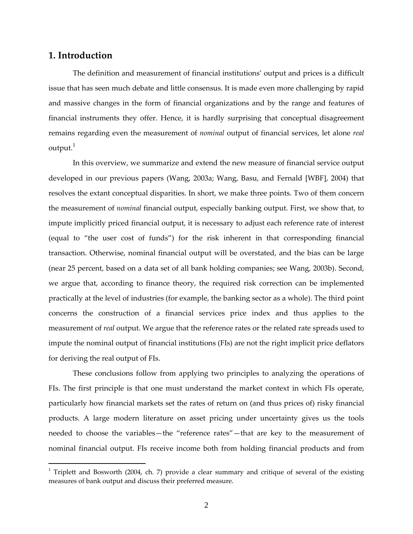# **1. Introduction**

 $\overline{a}$ 

The definition and measurement of financial institutions' output and prices is a difficult issue that has seen much debate and little consensus. It is made even more challenging by rapid and massive changes in the form of financial organizations and by the range and features of financial instruments they offer. Hence, it is hardly surprising that conceptual disagreement remains regarding even the measurement of *nominal* output of financial services, let alone *real* output. $^{\mathrm{1}}$ 

In this overview, we summarize and extend the new measure of financial service output developed in our previous papers (Wang, 2003a; Wang, Basu, and Fernald [WBF], 2004) that resolves the extant conceptual disparities. In short, we make three points. Two of them concern the measurement of *nominal* financial output, especially banking output. First, we show that, to impute implicitly priced financial output, it is necessary to adjust each reference rate of interest (equal to "the user cost of funds") for the risk inherent in that corresponding financial transaction. Otherwise, nominal financial output will be overstated, and the bias can be large (near 25 percent, based on a data set of all bank holding companies; see Wang, 2003b). Second, we argue that, according to finance theory, the required risk correction can be implemented practically at the level of industries (for example, the banking sector as a whole). The third point concerns the construction of a financial services price index and thus applies to the measurement of *real* output. We argue that the reference rates or the related rate spreads used to impute the nominal output of financial institutions (FIs) are not the right implicit price deflators for deriving the real output of FIs.

These conclusions follow from applying two principles to analyzing the operations of FIs. The first principle is that one must understand the market context in which FIs operate, particularly how financial markets set the rates of return on (and thus prices of) risky financial products. A large modern literature on asset pricing under uncertainty gives us the tools needed to choose the variables—the "reference rates"—that are key to the measurement of nominal financial output. FIs receive income both from holding financial products and from

<sup>&</sup>lt;sup>1</sup> Triplett and Bosworth (2004, ch. 7) provide a clear summary and critique of several of the existing measures of bank output and discuss their preferred measure.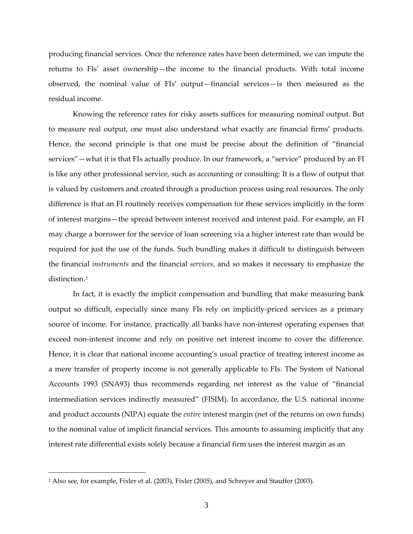producing financial services. Once the reference rates have been determined, we can impute the returns to FIs' asset ownership—the income to the financial products. With total income observed, the nominal value of FIs' output—financial services—is then measured as the residual income.

Knowing the reference rates for risky assets suffices for measuring nominal output. But to measure real output, one must also understand what exactly are financial firms' products. Hence, the second principle is that one must be precise about the definition of "financial services"—what it is that FIs actually produce. In our framework, a "service" produced by an FI is like any other professional service, such as accounting or consulting: It is a flow of output that is valued by customers and created through a production process using real resources. The only difference is that an FI routinely receives compensation for these services implicitly in the form of interest margins—the spread between interest received and interest paid. For example, an FI may charge a borrower for the service of loan screening via a higher interest rate than would be required for just the use of the funds. Such bundling makes it difficult to distinguish between the financial *instruments* and the financial *services*, and so makes it necessary to emphasize the distinction.2

In fact, it is exactly the implicit compensation and bundling that make measuring bank output so difficult, especially since many FIs rely on implicitly‐priced services as a primary source of income. For instance, practically all banks have non-interest operating expenses that exceed non-interest income and rely on positive net interest income to cover the difference. Hence, it is clear that national income accounting's usual practice of treating interest income as a mere transfer of property income is not generally applicable to FIs. The System of National Accounts 1993 (SNA93) thus recommends regarding net interest as the value of "financial intermediation services indirectly measured" (FISIM). In accordance, the U.S. national income and product accounts (NIPA) equate the *entire* interest margin (net of the returns on own funds) to the nominal value of implicit financial services. This amounts to assuming implicitly that any interest rate differential exists solely because a financial firm uses the interest margin as an

<sup>2</sup> Also see, for example, Fixler et al. (2003), Fixler (2005), and Schreyer and Stauffer (2003).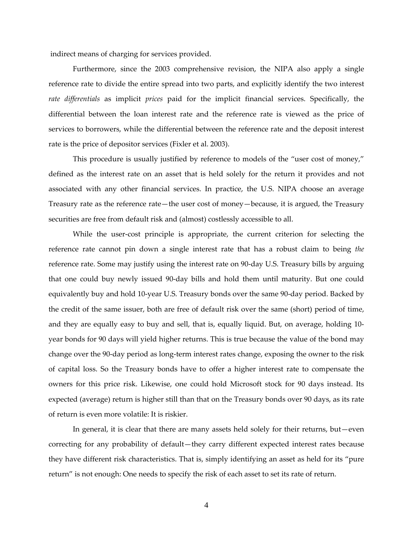indirect means of charging for services provided.

Furthermore, since the 2003 comprehensive revision, the NIPA also apply a single reference rate to divide the entire spread into two parts, and explicitly identify the two interest *rate differentials* as implicit *prices* paid for the implicit financial services. Specifically, the differential between the loan interest rate and the reference rate is viewed as the price of services to borrowers, while the differential between the reference rate and the deposit interest rate is the price of depositor services (Fixler et al. 2003).

This procedure is usually justified by reference to models of the "user cost of money," defined as the interest rate on an asset that is held solely for the return it provides and not associated with any other financial services. In practice, the U.S. NIPA choose an average Treasury rate as the reference rate—the user cost of money—because, it is argued, the Treasury securities are free from default risk and (almost) costlessly accessible to all.

While the user-cost principle is appropriate, the current criterion for selecting the reference rate cannot pin down a single interest rate that has a robust claim to being *the* reference rate. Some may justify using the interest rate on 90‐day U.S. Treasury bills by arguing that one could buy newly issued 90‐day bills and hold them until maturity. But one could equivalently buy and hold 10‐year U.S. Treasury bonds over the same 90‐day period. Backed by the credit of the same issuer, both are free of default risk over the same (short) period of time, and they are equally easy to buy and sell, that is, equally liquid. But, on average, holding 10‐ year bonds for 90 days will yield higher returns. This is true because the value of the bond may change over the 90‐day period as long‐term interest rates change, exposing the owner to the risk of capital loss. So the Treasury bonds have to offer a higher interest rate to compensate the owners for this price risk. Likewise, one could hold Microsoft stock for 90 days instead. Its expected (average) return is higher still than that on the Treasury bonds over 90 days, as its rate of return is even more volatile: It is riskier.

In general, it is clear that there are many assets held solely for their returns, but—even correcting for any probability of default—they carry different expected interest rates because they have different risk characteristics. That is, simply identifying an asset as held for its "pure return" is not enough: One needs to specify the risk of each asset to set its rate of return.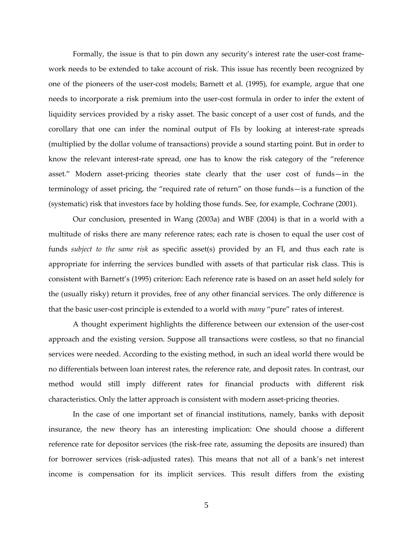Formally, the issue is that to pin down any security's interest rate the user-cost framework needs to be extended to take account of risk. This issue has recently been recognized by one of the pioneers of the user‐cost models; Barnett et al. (1995), for example, argue that one needs to incorporate a risk premium into the user-cost formula in order to infer the extent of liquidity services provided by a risky asset. The basic concept of a user cost of funds, and the corollary that one can infer the nominal output of FIs by looking at interest-rate spreads (multiplied by the dollar volume of transactions) provide a sound starting point. But in order to know the relevant interest-rate spread, one has to know the risk category of the "reference asset." Modern asset‐pricing theories state clearly that the user cost of funds—in the terminology of asset pricing, the "required rate of return" on those funds—is a function of the (systematic) risk that investors face by holding those funds. See, for example, Cochrane (2001).

Our conclusion, presented in Wang (2003a) and WBF (2004) is that in a world with a multitude of risks there are many reference rates; each rate is chosen to equal the user cost of funds *subject to the same risk* as specific asset(s) provided by an FI, and thus each rate is appropriate for inferring the services bundled with assets of that particular risk class. This is consistent with Barnett's (1995) criterion: Each reference rate is based on an asset held solely for the (usually risky) return it provides, free of any other financial services. The only difference is that the basic user‐cost principle is extended to a world with *many* "pure" rates of interest.

A thought experiment highlights the difference between our extension of the user‐cost approach and the existing version. Suppose all transactions were costless, so that no financial services were needed. According to the existing method, in such an ideal world there would be no differentials between loan interest rates, the reference rate, and deposit rates. In contrast, our method would still imply different rates for financial products with different risk characteristics. Only the latter approach is consistent with modern asset‐pricing theories.

In the case of one important set of financial institutions, namely, banks with deposit insurance, the new theory has an interesting implication: One should choose a different reference rate for depositor services (the risk-free rate, assuming the deposits are insured) than for borrower services (risk-adjusted rates). This means that not all of a bank's net interest income is compensation for its implicit services. This result differs from the existing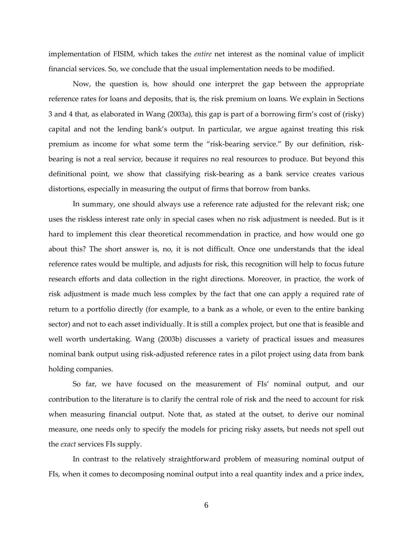implementation of FISIM, which takes the *entire* net interest as the nominal value of implicit financial services. So, we conclude that the usual implementation needs to be modified.

Now, the question is, how should one interpret the gap between the appropriate reference rates for loans and deposits, that is, the risk premium on loans. We explain in Sections 3 and 4 that, as elaborated in Wang (2003a), this gap is part of a borrowing firm's cost of (risky) capital and not the lending bank's output. In particular, we argue against treating this risk premium as income for what some term the "risk-bearing service." By our definition, riskbearing is not a real service, because it requires no real resources to produce. But beyond this definitional point, we show that classifying risk‐bearing as a bank service creates various distortions, especially in measuring the output of firms that borrow from banks.

In summary, one should always use a reference rate adjusted for the relevant risk; one uses the riskless interest rate only in special cases when no risk adjustment is needed. But is it hard to implement this clear theoretical recommendation in practice, and how would one go about this? The short answer is, no, it is not difficult. Once one understands that the ideal reference rates would be multiple, and adjusts for risk, this recognition will help to focus future research efforts and data collection in the right directions. Moreover, in practice, the work of risk adjustment is made much less complex by the fact that one can apply a required rate of return to a portfolio directly (for example, to a bank as a whole, or even to the entire banking sector) and not to each asset individually. It is still a complex project, but one that is feasible and well worth undertaking. Wang (2003b) discusses a variety of practical issues and measures nominal bank output using risk‐adjusted reference rates in a pilot project using data from bank holding companies.

So far, we have focused on the measurement of FIs' nominal output, and our contribution to the literature is to clarify the central role of risk and the need to account for risk when measuring financial output. Note that, as stated at the outset, to derive our nominal measure, one needs only to specify the models for pricing risky assets, but needs not spell out the *exact* services FIs supply.

In contrast to the relatively straightforward problem of measuring nominal output of FIs, when it comes to decomposing nominal output into a real quantity index and a price index,

6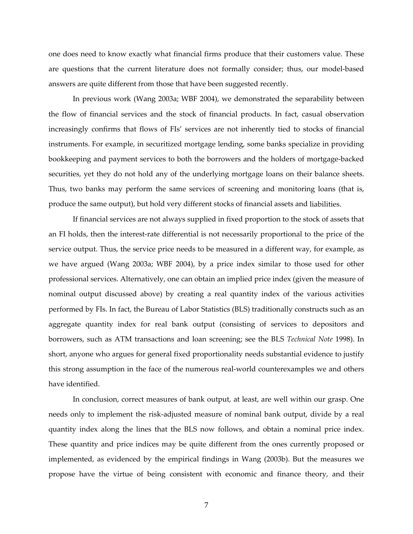one does need to know exactly what financial firms produce that their customers value. These are questions that the current literature does not formally consider; thus, our model-based answers are quite different from those that have been suggested recently.

In previous work (Wang 2003a; WBF 2004), we demonstrated the separability between the flow of financial services and the stock of financial products. In fact, casual observation increasingly confirms that flows of FIs' services are not inherently tied to stocks of financial instruments. For example, in securitized mortgage lending, some banks specialize in providing bookkeeping and payment services to both the borrowers and the holders of mortgage‐backed securities, yet they do not hold any of the underlying mortgage loans on their balance sheets. Thus, two banks may perform the same services of screening and monitoring loans (that is, produce the same output), but hold very different stocks of financial assets and liabilities.

If financial services are not always supplied in fixed proportion to the stock of assets that an FI holds, then the interest‐rate differential is not necessarily proportional to the price of the service output. Thus, the service price needs to be measured in a different way, for example, as we have argued (Wang 2003a; WBF 2004), by a price index similar to those used for other professional services. Alternatively, one can obtain an implied price index (given the measure of nominal output discussed above) by creating a real quantity index of the various activities performed by FIs. In fact, the Bureau of Labor Statistics (BLS) traditionally constructs such as an aggregate quantity index for real bank output (consisting of services to depositors and borrowers, such as ATM transactions and loan screening; see the BLS *Technical Note* 1998). In short, anyone who argues for general fixed proportionality needs substantial evidence to justify this strong assumption in the face of the numerous real‐world counterexamples we and others have identified.

In conclusion, correct measures of bank output, at least, are well within our grasp. One needs only to implement the risk-adjusted measure of nominal bank output, divide by a real quantity index along the lines that the BLS now follows, and obtain a nominal price index. These quantity and price indices may be quite different from the ones currently proposed or implemented, as evidenced by the empirical findings in Wang (2003b). But the measures we propose have the virtue of being consistent with economic and finance theory, and their

7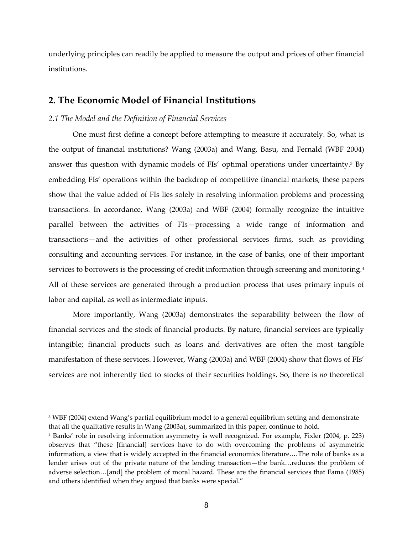underlying principles can readily be applied to measure the output and prices of other financial institutions.

# **2. The Economic Model of Financial Institutions**

#### *2.1 The Model and the Definition of Financial Services*

 $\overline{a}$ 

One must first define a concept before attempting to measure it accurately. So, what is the output of financial institutions? Wang (2003a) and Wang, Basu, and Fernald (WBF 2004) answer this question with dynamic models of FIs' optimal operations under uncertainty.3 By embedding FIs' operations within the backdrop of competitive financial markets, these papers show that the value added of FIs lies solely in resolving information problems and processing transactions. In accordance, Wang (2003a) and WBF (2004) formally recognize the intuitive parallel between the activities of FIs—processing a wide range of information and transactions—and the activities of other professional services firms, such as providing consulting and accounting services. For instance, in the case of banks, one of their important services to borrowers is the processing of credit information through screening and monitoring.<sup>4</sup> All of these services are generated through a production process that uses primary inputs of labor and capital, as well as intermediate inputs.

More importantly, Wang (2003a) demonstrates the separability between the flow of financial services and the stock of financial products. By nature, financial services are typically intangible; financial products such as loans and derivatives are often the most tangible manifestation of these services. However, Wang (2003a) and WBF (2004) show that flows of FIs' services are not inherently tied to stocks of their securities holdings. So, there is *no* theoretical

<sup>&</sup>lt;sup>3</sup> WBF (2004) extend Wang's partial equilibrium model to a general equilibrium setting and demonstrate that all the qualitative results in Wang (2003a), summarized in this paper, continue to hold.

<sup>4</sup> Banks' role in resolving information asymmetry is well recognized. For example, Fixler (2004, p. 223) observes that "these [financial] services have to do with overcoming the problems of asymmetric information, a view that is widely accepted in the financial economics literature.…The role of banks as a lender arises out of the private nature of the lending transaction—the bank…reduces the problem of adverse selection…[and] the problem of moral hazard. These are the financial services that Fama (1985) and others identified when they argued that banks were special."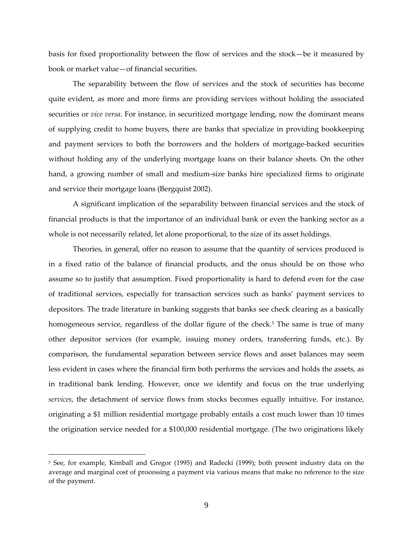basis for fixed proportionality between the flow of services and the stock—be it measured by book or market value—of financial securities.

The separability between the flow of services and the stock of securities has become quite evident, as more and more firms are providing services without holding the associated securities or *vice versa*. For instance, in securitized mortgage lending, now the dominant means of supplying credit to home buyers, there are banks that specialize in providing bookkeeping and payment services to both the borrowers and the holders of mortgage‐backed securities without holding any of the underlying mortgage loans on their balance sheets. On the other hand, a growing number of small and medium‐size banks hire specialized firms to originate and service their mortgage loans (Bergquist 2002).

A significant implication of the separability between financial services and the stock of financial products is that the importance of an individual bank or even the banking sector as a whole is not necessarily related, let alone proportional, to the size of its asset holdings.

Theories, in general, offer no reason to assume that the quantity of services produced is in a fixed ratio of the balance of financial products, and the onus should be on those who assume so to justify that assumption. Fixed proportionality is hard to defend even for the case of traditional services, especially for transaction services such as banks' payment services to depositors. The trade literature in banking suggests that banks see check clearing as a basically homogeneous service, regardless of the dollar figure of the check.<sup>5</sup> The same is true of many other depositor services (for example, issuing money orders, transferring funds, etc.). By comparison, the fundamental separation between service flows and asset balances may seem less evident in cases where the financial firm both performs the services and holds the assets, as in traditional bank lending. However, once we identify and focus on the true underlying *services*, the detachment of service flows from stocks becomes equally intuitive. For instance, originating a \$1 million residential mortgage probably entails a cost much lower than 10 times the origination service needed for a \$100,000 residential mortgage. (The two originations likely

<sup>5</sup> See, for example, Kimball and Gregor (1995) and Radecki (1999); both present industry data on the average and marginal cost of processing a payment via various means that make no reference to the size of the payment.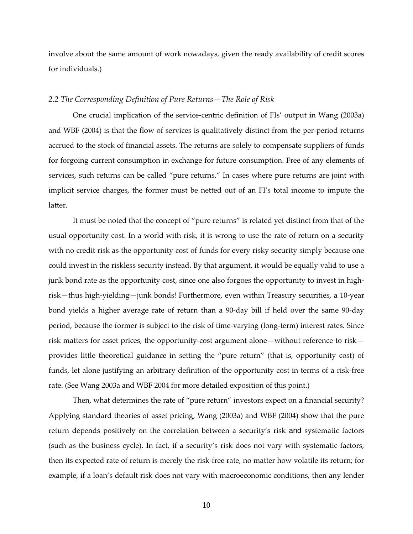involve about the same amount of work nowadays, given the ready availability of credit scores for individuals.)

#### *2.2 The Corresponding Definition of Pure Returns—The Role of Risk*

One crucial implication of the service-centric definition of FIs' output in Wang (2003a) and WBF (2004) is that the flow of services is qualitatively distinct from the per‐period returns accrued to the stock of financial assets. The returns are solely to compensate suppliers of funds for forgoing current consumption in exchange for future consumption. Free of any elements of services, such returns can be called "pure returns." In cases where pure returns are joint with implicit service charges, the former must be netted out of an FI's total income to impute the latter.

It must be noted that the concept of "pure returns" is related yet distinct from that of the usual opportunity cost. In a world with risk, it is wrong to use the rate of return on a security with no credit risk as the opportunity cost of funds for every risky security simply because one could invest in the riskless security instead. By that argument, it would be equally valid to use a junk bond rate as the opportunity cost, since one also forgoes the opportunity to invest in highrisk—thus high‐yielding—junk bonds! Furthermore, even within Treasury securities, a 10‐year bond yields a higher average rate of return than a 90‐day bill if held over the same 90‐day period, because the former is subject to the risk of time‐varying (long‐term) interest rates. Since risk matters for asset prices, the opportunity‐cost argument alone—without reference to risk provides little theoretical guidance in setting the "pure return" (that is, opportunity cost) of funds, let alone justifying an arbitrary definition of the opportunity cost in terms of a risk-free rate. (See Wang 2003a and WBF 2004 for more detailed exposition of this point.)

Then, what determines the rate of "pure return" investors expect on a financial security? Applying standard theories of asset pricing, Wang (2003a) and WBF (2004) show that the pure return depends positively on the correlation between a security's risk and systematic factors (such as the business cycle). In fact, if a security's risk does not vary with systematic factors, then its expected rate of return is merely the risk‐free rate, no matter how volatile its return; for example, if a loan's default risk does not vary with macroeconomic conditions, then any lender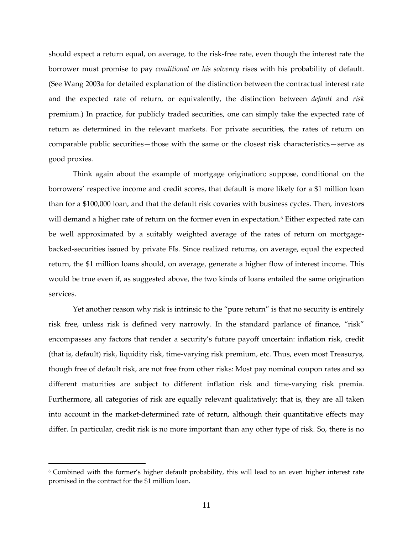should expect a return equal, on average, to the risk‐free rate, even though the interest rate the borrower must promise to pay *conditional on his solvency* rises with his probability of default. (See Wang 2003a for detailed explanation of the distinction between the contractual interest rate and the expected rate of return, or equivalently, the distinction between *default* and *risk* premium.) In practice, for publicly traded securities, one can simply take the expected rate of return as determined in the relevant markets. For private securities, the rates of return on comparable public securities—those with the same or the closest risk characteristics—serve as good proxies.

Think again about the example of mortgage origination; suppose, conditional on the borrowers' respective income and credit scores, that default is more likely for a \$1 million loan than for a \$100,000 loan, and that the default risk covaries with business cycles. Then, investors will demand a higher rate of return on the former even in expectation.<sup>6</sup> Either expected rate can be well approximated by a suitably weighted average of the rates of return on mortgagebacked‐securities issued by private FIs. Since realized returns, on average, equal the expected return, the \$1 million loans should, on average, generate a higher flow of interest income. This would be true even if, as suggested above, the two kinds of loans entailed the same origination services.

Yet another reason why risk is intrinsic to the "pure return" is that no security is entirely risk free, unless risk is defined very narrowly. In the standard parlance of finance, "risk" encompasses any factors that render a security's future payoff uncertain: inflation risk, credit (that is, default) risk, liquidity risk, time‐varying risk premium, etc. Thus, even most Treasurys, though free of default risk, are not free from other risks: Most pay nominal coupon rates and so different maturities are subject to different inflation risk and time‐varying risk premia. Furthermore, all categories of risk are equally relevant qualitatively; that is, they are all taken into account in the market-determined rate of return, although their quantitative effects may differ. In particular, credit risk is no more important than any other type of risk. So, there is no

<sup>6</sup> Combined with the former's higher default probability, this will lead to an even higher interest rate promised in the contract for the \$1 million loan.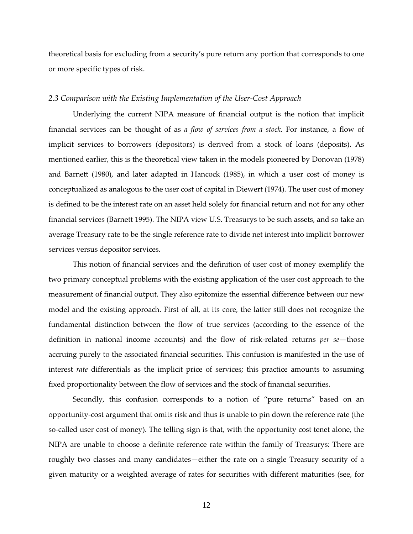theoretical basis for excluding from a security's pure return any portion that corresponds to one or more specific types of risk.

#### *2.3 Comparison with the Existing Implementation of the User‐Cost Approach*

Underlying the current NIPA measure of financial output is the notion that implicit financial services can be thought of as *a flow of services from a stock*. For instance, a flow of implicit services to borrowers (depositors) is derived from a stock of loans (deposits). As mentioned earlier, this is the theoretical view taken in the models pioneered by Donovan (1978) and Barnett (1980), and later adapted in Hancock (1985), in which a user cost of money is conceptualized as analogous to the user cost of capital in Diewert (1974). The user cost of money is defined to be the interest rate on an asset held solely for financial return and not for any other financial services (Barnett 1995). The NIPA view U.S. Treasurys to be such assets, and so take an average Treasury rate to be the single reference rate to divide net interest into implicit borrower services versus depositor services.

This notion of financial services and the definition of user cost of money exemplify the two primary conceptual problems with the existing application of the user cost approach to the measurement of financial output. They also epitomize the essential difference between our new model and the existing approach. First of all, at its core, the latter still does not recognize the fundamental distinction between the flow of true services (according to the essence of the definition in national income accounts) and the flow of risk‐related returns *per se*—those accruing purely to the associated financial securities. This confusion is manifested in the use of interest *rate* differentials as the implicit price of services; this practice amounts to assuming fixed proportionality between the flow of services and the stock of financial securities.

Secondly, this confusion corresponds to a notion of "pure returns" based on an opportunity‐cost argument that omits risk and thus is unable to pin down the reference rate (the so-called user cost of money). The telling sign is that, with the opportunity cost tenet alone, the NIPA are unable to choose a definite reference rate within the family of Treasurys: There are roughly two classes and many candidates—either the rate on a single Treasury security of a given maturity or a weighted average of rates for securities with different maturities (see, for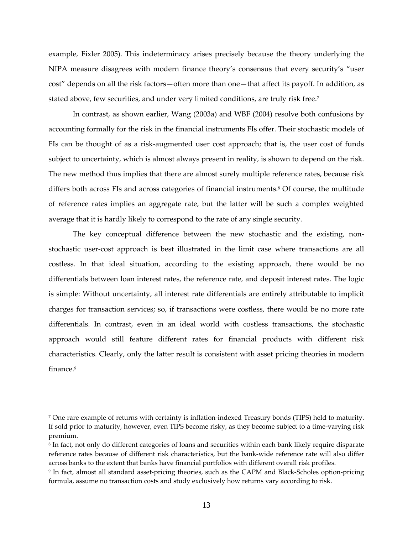example, Fixler 2005). This indeterminacy arises precisely because the theory underlying the NIPA measure disagrees with modern finance theory's consensus that every security's "user cost" depends on all the risk factors—often more than one—that affect its payoff. In addition, as stated above, few securities, and under very limited conditions, are truly risk free.7

In contrast, as shown earlier, Wang (2003a) and WBF (2004) resolve both confusions by accounting formally for the risk in the financial instruments FIs offer. Their stochastic models of FIs can be thought of as a risk-augmented user cost approach; that is, the user cost of funds subject to uncertainty, which is almost always present in reality, is shown to depend on the risk. The new method thus implies that there are almost surely multiple reference rates, because risk differs both across FIs and across categories of financial instruments.<sup>8</sup> Of course, the multitude of reference rates implies an aggregate rate, but the latter will be such a complex weighted average that it is hardly likely to correspond to the rate of any single security.

The key conceptual difference between the new stochastic and the existing, nonstochastic user‐cost approach is best illustrated in the limit case where transactions are all costless. In that ideal situation, according to the existing approach, there would be no differentials between loan interest rates, the reference rate, and deposit interest rates. The logic is simple: Without uncertainty, all interest rate differentials are entirely attributable to implicit charges for transaction services; so, if transactions were costless, there would be no more rate differentials. In contrast, even in an ideal world with costless transactions, the stochastic approach would still feature different rates for financial products with different risk characteristics. Clearly, only the latter result is consistent with asset pricing theories in modern finance<sup>9</sup>

<sup>7</sup> One rare example of returns with certainty is inflation‐indexed Treasury bonds (TIPS) held to maturity. If sold prior to maturity, however, even TIPS become risky, as they become subject to a time-varying risk premium.

<sup>8</sup> In fact, not only do different categories of loans and securities within each bank likely require disparate reference rates because of different risk characteristics, but the bank‐wide reference rate will also differ across banks to the extent that banks have financial portfolios with different overall risk profiles.

<sup>9</sup> In fact, almost all standard asset‐pricing theories, such as the CAPM and Black‐Scholes option‐pricing formula, assume no transaction costs and study exclusively how returns vary according to risk.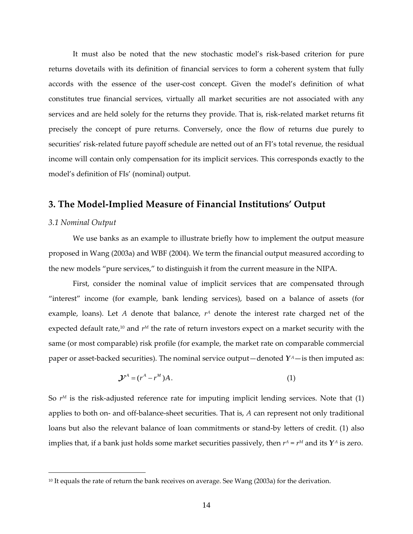It must also be noted that the new stochastic model's risk‐based criterion for pure returns dovetails with its definition of financial services to form a coherent system that fully accords with the essence of the user‐cost concept. Given the model's definition of what constitutes true financial services, virtually all market securities are not associated with any services and are held solely for the returns they provide. That is, risk-related market returns fit precisely the concept of pure returns. Conversely, once the flow of returns due purely to securities' risk-related future payoff schedule are netted out of an FI's total revenue, the residual income will contain only compensation for its implicit services. This corresponds exactly to the model's definition of FIs' (nominal) output.

#### **3. The Model‐Implied Measure of Financial Institutions' Output**

#### *3.1 Nominal Output*

 $\overline{a}$ 

We use banks as an example to illustrate briefly how to implement the output measure proposed in Wang (2003a) and WBF (2004). We term the financial output measured according to the new models "pure services," to distinguish it from the current measure in the NIPA.

First, consider the nominal value of implicit services that are compensated through "interest" income (for example, bank lending services), based on a balance of assets (for example, loans). Let *A* denote that balance,  $r<sup>A</sup>$  denote the interest rate charged net of the expected default rate,<sup>10</sup> and  $r^M$  the rate of return investors expect on a market security with the same (or most comparable) risk profile (for example, the market rate on comparable commercial paper or asset-backed securities). The nominal service output—denoted  $Y^A$ —is then imputed as:

$$
\mathcal{Y}^A = (r^A - r^M)A. \tag{1}
$$

So  $r^M$  is the risk-adjusted reference rate for imputing implicit lending services. Note that  $(1)$ applies to both on‐ and off‐balance‐sheet securities. That is, *A* can represent not only traditional loans but also the relevant balance of loan commitments or stand-by letters of credit. (1) also implies that, if a bank just holds some market securities passively, then  $r^A = r^M$  and its  $Y^A$  is zero.

<sup>&</sup>lt;sup>10</sup> It equals the rate of return the bank receives on average. See Wang (2003a) for the derivation.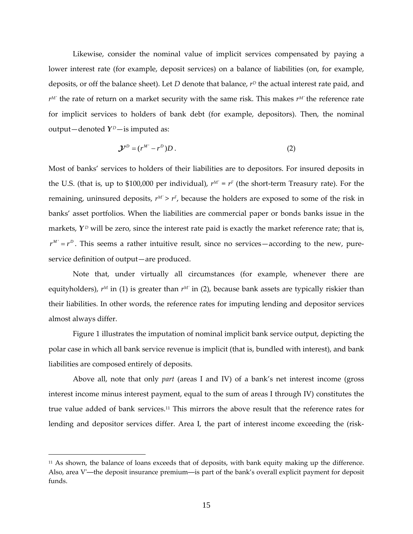Likewise, consider the nominal value of implicit services compensated by paying a lower interest rate (for example, deposit services) on a balance of liabilities (on, for example, deposits, or off the balance sheet). Let *D* denote that balance,  $r<sup>D</sup>$  the actual interest rate paid, and *rM′* the rate of return on a market security with the same risk. This makes *rM′* the reference rate for implicit services to holders of bank debt (for example, depositors). Then, the nominal output—denoted  $Y^D$ —is imputed as:

$$
\mathcal{Y}^D = (r^M - r^D)D. \tag{2}
$$

Most of banks' services to holders of their liabilities are to depositors. For insured deposits in the U.S. (that is, up to \$100,000 per individual),  $r^M = r^F$  (the short-term Treasury rate). For the remaining, uninsured deposits,  $r^M > r^F$ , because the holders are exposed to some of the risk in banks' asset portfolios. When the liabilities are commercial paper or bonds banks issue in the markets,  $Y^D$  will be zero, since the interest rate paid is exactly the market reference rate; that is,  $r^M = r^D$ . This seems a rather intuitive result, since no services—according to the new, pureservice definition of output—are produced.

Note that, under virtually all circumstances (for example, whenever there are equityholders),  $r^M$  in (1) is greater than  $r^M$  in (2), because bank assets are typically riskier than their liabilities. In other words, the reference rates for imputing lending and depositor services almost always differ.

Figure 1 illustrates the imputation of nominal implicit bank service output, depicting the polar case in which all bank service revenue is implicit (that is, bundled with interest), and bank liabilities are composed entirely of deposits.

Above all, note that only *part* (areas I and IV) of a bank's net interest income (gross interest income minus interest payment, equal to the sum of areas I through IV) constitutes the true value added of bank services.11 This mirrors the above result that the reference rates for lending and depositor services differ. Area I, the part of interest income exceeding the (risk‐

 $11$  As shown, the balance of loans exceeds that of deposits, with bank equity making up the difference. Also, area Vʹ—the deposit insurance premium—is part of the bank's overall explicit payment for deposit funds.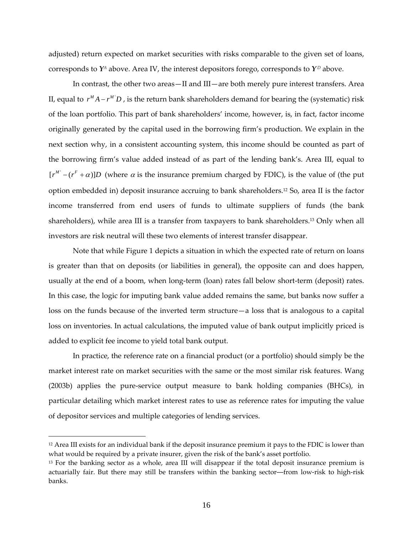adjusted) return expected on market securities with risks comparable to the given set of loans, corresponds to  $Y^A$  above. Area IV, the interest depositors forego, corresponds to  $Y^D$  above.

In contrast, the other two areas—II and III—are both merely pure interest transfers. Area II, equal to  $r^M A - r^M D$ , is the return bank shareholders demand for bearing the (systematic) risk of the loan portfolio. This part of bank shareholders' income, however, is, in fact, factor income originally generated by the capital used in the borrowing firm's production. We explain in the next section why, in a consistent accounting system, this income should be counted as part of the borrowing firm's value added instead of as part of the lending bank's. Area III, equal to  $[r^M - (r^F + \alpha)]D$  (where  $\alpha$  is the insurance premium charged by FDIC), is the value of (the put option embedded in) deposit insurance accruing to bank shareholders.12 So, area II is the factor income transferred from end users of funds to ultimate suppliers of funds (the bank shareholders), while area III is a transfer from taxpayers to bank shareholders.13 Only when all investors are risk neutral will these two elements of interest transfer disappear.

Note that while Figure 1 depicts a situation in which the expected rate of return on loans is greater than that on deposits (or liabilities in general), the opposite can and does happen, usually at the end of a boom, when long-term (loan) rates fall below short-term (deposit) rates. In this case, the logic for imputing bank value added remains the same, but banks now suffer a loss on the funds because of the inverted term structure—a loss that is analogous to a capital loss on inventories. In actual calculations, the imputed value of bank output implicitly priced is added to explicit fee income to yield total bank output.

In practice, the reference rate on a financial product (or a portfolio) should simply be the market interest rate on market securities with the same or the most similar risk features. Wang (2003b) applies the pure‐service output measure to bank holding companies (BHCs), in particular detailing which market interest rates to use as reference rates for imputing the value of depositor services and multiple categories of lending services.

 $12$  Area III exists for an individual bank if the deposit insurance premium it pays to the FDIC is lower than what would be required by a private insurer, given the risk of the bank's asset portfolio.

<sup>&</sup>lt;sup>13</sup> For the banking sector as a whole, area III will disappear if the total deposit insurance premium is actuarially fair. But there may still be transfers within the banking sector—from low-risk to high-risk banks.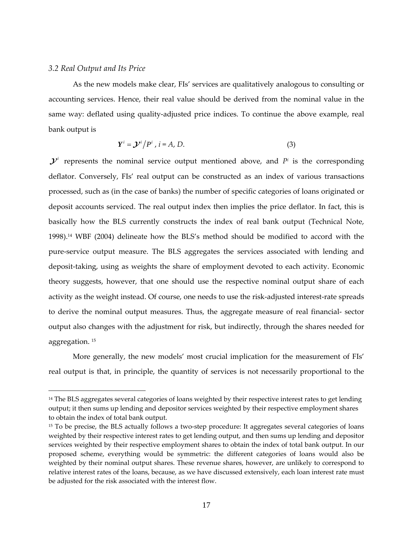#### *3.2 Real Output and Its Price*

 $\overline{a}$ 

As the new models make clear, FIs' services are qualitatively analogous to consulting or accounting services. Hence, their real value should be derived from the nominal value in the same way: deflated using quality-adjusted price indices. To continue the above example, real bank output is

$$
\boldsymbol{Y}^i = \boldsymbol{\mathcal{Y}}^i \big/ P^i \,, \, i = A, \, D. \tag{3}
$$

 $\mathcal{Y}^i$  represents the nominal service output mentioned above, and  $P^i$  is the corresponding deflator. Conversely, FIs' real output can be constructed as an index of various transactions processed, such as (in the case of banks) the number of specific categories of loans originated or deposit accounts serviced. The real output index then implies the price deflator. In fact, this is basically how the BLS currently constructs the index of real bank output (Technical Note, 1998).14 WBF (2004) delineate how the BLS's method should be modified to accord with the pure‐service output measure. The BLS aggregates the services associated with lending and deposit-taking, using as weights the share of employment devoted to each activity. Economic theory suggests, however, that one should use the respective nominal output share of each activity as the weight instead. Of course, one needs to use the risk-adjusted interest-rate spreads to derive the nominal output measures. Thus, the aggregate measure of real financial-sector output also changes with the adjustment for risk, but indirectly, through the shares needed for aggregation. <sup>15</sup>

More generally, the new models' most crucial implication for the measurement of FIs' real output is that, in principle, the quantity of services is not necessarily proportional to the

<sup>&</sup>lt;sup>14</sup> The BLS aggregates several categories of loans weighted by their respective interest rates to get lending output; it then sums up lending and depositor services weighted by their respective employment shares to obtain the index of total bank output.

<sup>&</sup>lt;sup>15</sup> To be precise, the BLS actually follows a two-step procedure: It aggregates several categories of loans weighted by their respective interest rates to get lending output, and then sums up lending and depositor services weighted by their respective employment shares to obtain the index of total bank output. In our proposed scheme, everything would be symmetric: the different categories of loans would also be weighted by their nominal output shares. These revenue shares, however, are unlikely to correspond to relative interest rates of the loans, because, as we have discussed extensively, each loan interest rate must be adjusted for the risk associated with the interest flow.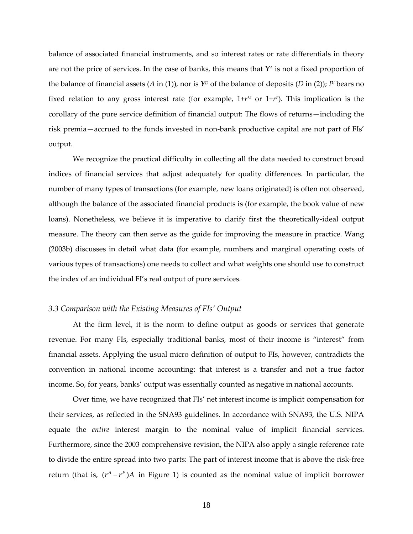balance of associated financial instruments, and so interest rates or rate differentials in theory are not the price of services. In the case of banks, this means that  $Y^A$  is not a fixed proportion of the balance of financial assets (*A* in (1)), nor is  $Y^D$  of the balance of deposits (*D* in (2)); *Pi* bears no fixed relation to any gross interest rate (for example,  $1+r^M$  or  $1+r^F$ ). This implication is the corollary of the pure service definition of financial output: The flows of returns—including the risk premia—accrued to the funds invested in non‐bank productive capital are not part of FIs' output.

We recognize the practical difficulty in collecting all the data needed to construct broad indices of financial services that adjust adequately for quality differences. In particular, the number of many types of transactions (for example, new loans originated) is often not observed, although the balance of the associated financial products is (for example, the book value of new loans). Nonetheless, we believe it is imperative to clarify first the theoretically‐ideal output measure. The theory can then serve as the guide for improving the measure in practice. Wang (2003b) discusses in detail what data (for example, numbers and marginal operating costs of various types of transactions) one needs to collect and what weights one should use to construct the index of an individual FI's real output of pure services.

#### *3.3 Comparison with the Existing Measures of FIs' Output*

At the firm level, it is the norm to define output as goods or services that generate revenue. For many FIs, especially traditional banks, most of their income is "interest" from financial assets. Applying the usual micro definition of output to FIs, however, contradicts the convention in national income accounting: that interest is a transfer and not a true factor income. So, for years, banks' output was essentially counted as negative in national accounts.

Over time, we have recognized that FIs' net interest income is implicit compensation for their services, as reflected in the SNA93 guidelines. In accordance with SNA93, the U.S. NIPA equate the *entire* interest margin to the nominal value of implicit financial services. Furthermore, since the 2003 comprehensive revision, the NIPA also apply a single reference rate to divide the entire spread into two parts: The part of interest income that is above the risk‐free return (that is,  $(r^A - r^F)A$  in Figure 1) is counted as the nominal value of implicit borrower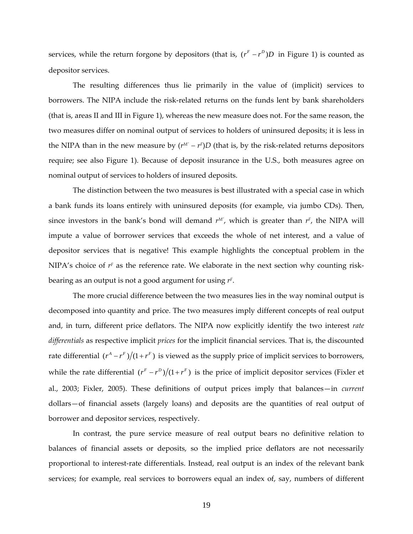services, while the return forgone by depositors (that is,  $(r<sup>F</sup> - r<sup>D</sup>)D$  in Figure 1) is counted as depositor services.

The resulting differences thus lie primarily in the value of (implicit) services to borrowers. The NIPA include the risk-related returns on the funds lent by bank shareholders (that is, areas II and III in Figure 1), whereas the new measure does not. For the same reason, the two measures differ on nominal output of services to holders of uninsured deposits; it is less in the NIPA than in the new measure by  $(r^{M'} - r^F)D$  (that is, by the risk-related returns depositors require; see also Figure 1). Because of deposit insurance in the U.S., both measures agree on nominal output of services to holders of insured deposits.

The distinction between the two measures is best illustrated with a special case in which a bank funds its loans entirely with uninsured deposits (for example, via jumbo CDs). Then, since investors in the bank's bond will demand  $r^M$ , which is greater than  $r^F$ , the NIPA will impute a value of borrower services that exceeds the whole of net interest, and a value of depositor services that is negative! This example highlights the conceptual problem in the NIPA's choice of  $r<sup>F</sup>$  as the reference rate. We elaborate in the next section why counting riskbearing as an output is not a good argument for using *rF*.

The more crucial difference between the two measures lies in the way nominal output is decomposed into quantity and price. The two measures imply different concepts of real output and, in turn, different price deflators. The NIPA now explicitly identify the two interest *rate differentials* as respective implicit *prices* for the implicit financial services. That is, the discounted rate differential  $(r^A - r^F)/(1 + r^F)$  is viewed as the supply price of implicit services to borrowers, while the rate differential  $(r^F - r^D)/(1 + r^F)$  is the price of implicit depositor services (Fixler et al., 2003; Fixler, 2005). These definitions of output prices imply that balances—in *current* dollars—of financial assets (largely loans) and deposits are the quantities of real output of borrower and depositor services, respectively.

In contrast, the pure service measure of real output bears no definitive relation to balances of financial assets or deposits, so the implied price deflators are not necessarily proportional to interest-rate differentials. Instead, real output is an index of the relevant bank services; for example, real services to borrowers equal an index of, say, numbers of different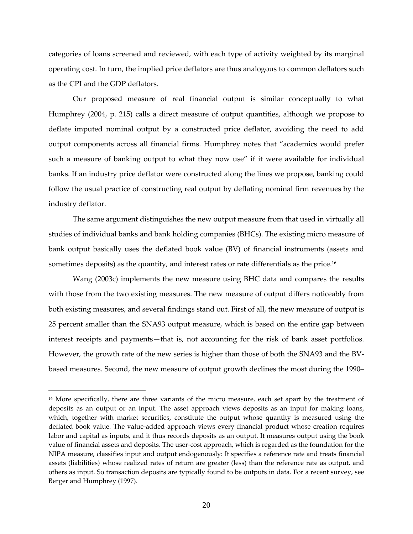categories of loans screened and reviewed, with each type of activity weighted by its marginal operating cost. In turn, the implied price deflators are thus analogous to common deflators such as the CPI and the GDP deflators.

Our proposed measure of real financial output is similar conceptually to what Humphrey (2004, p. 215) calls a direct measure of output quantities, although we propose to deflate imputed nominal output by a constructed price deflator, avoiding the need to add output components across all financial firms. Humphrey notes that "academics would prefer such a measure of banking output to what they now use" if it were available for individual banks. If an industry price deflator were constructed along the lines we propose, banking could follow the usual practice of constructing real output by deflating nominal firm revenues by the industry deflator.

The same argument distinguishes the new output measure from that used in virtually all studies of individual banks and bank holding companies (BHCs). The existing micro measure of bank output basically uses the deflated book value (BV) of financial instruments (assets and sometimes deposits) as the quantity, and interest rates or rate differentials as the price.<sup>16</sup>

Wang (2003c) implements the new measure using BHC data and compares the results with those from the two existing measures. The new measure of output differs noticeably from both existing measures, and several findings stand out. First of all, the new measure of output is 25 percent smaller than the SNA93 output measure, which is based on the entire gap between interest receipts and payments—that is, not accounting for the risk of bank asset portfolios. However, the growth rate of the new series is higher than those of both the SNA93 and the BV‐ based measures. Second, the new measure of output growth declines the most during the 1990–

<sup>&</sup>lt;sup>16</sup> More specifically, there are three variants of the micro measure, each set apart by the treatment of deposits as an output or an input. The asset approach views deposits as an input for making loans, which, together with market securities, constitute the output whose quantity is measured using the deflated book value. The value‐added approach views every financial product whose creation requires labor and capital as inputs, and it thus records deposits as an output. It measures output using the book value of financial assets and deposits. The user‐cost approach, which is regarded as the foundation for the NIPA measure, classifies input and output endogenously: It specifies a reference rate and treats financial assets (liabilities) whose realized rates of return are greater (less) than the reference rate as output, and others as input. So transaction deposits are typically found to be outputs in data. For a recent survey, see Berger and Humphrey (1997).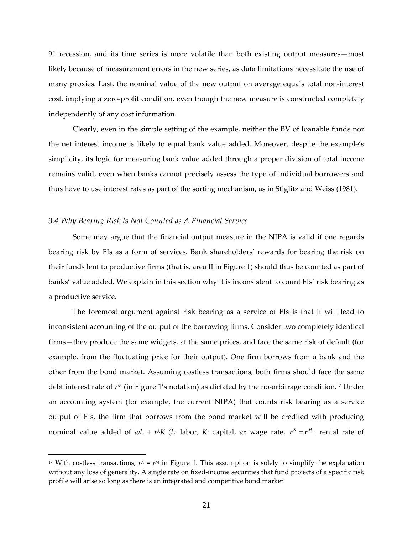91 recession, and its time series is more volatile than both existing output measures—most likely because of measurement errors in the new series, as data limitations necessitate the use of many proxies. Last, the nominal value of the new output on average equals total non-interest cost, implying a zero-profit condition, even though the new measure is constructed completely independently of any cost information.

Clearly, even in the simple setting of the example, neither the BV of loanable funds nor the net interest income is likely to equal bank value added. Moreover, despite the example's simplicity, its logic for measuring bank value added through a proper division of total income remains valid, even when banks cannot precisely assess the type of individual borrowers and thus have to use interest rates as part of the sorting mechanism, as in Stiglitz and Weiss (1981).

#### *3.4 Why Bearing Risk Is Not Counted as A Financial Service*

 $\overline{a}$ 

Some may argue that the financial output measure in the NIPA is valid if one regards bearing risk by FIs as a form of services. Bank shareholders' rewards for bearing the risk on their funds lent to productive firms (that is, area II in Figure 1) should thus be counted as part of banks' value added. We explain in this section why it is inconsistent to count FIs' risk bearing as a productive service.

The foremost argument against risk bearing as a service of FIs is that it will lead to inconsistent accounting of the output of the borrowing firms. Consider two completely identical firms—they produce the same widgets, at the same prices, and face the same risk of default (for example, from the fluctuating price for their output). One firm borrows from a bank and the other from the bond market. Assuming costless transactions, both firms should face the same debt interest rate of  $r^M$  (in Figure 1's notation) as dictated by the no-arbitrage condition.<sup>17</sup> Under an accounting system (for example, the current NIPA) that counts risk bearing as a service output of FIs, the firm that borrows from the bond market will be credited with producing nominal value added of  $wL + r^K K$  (*L*: labor, *K*: capital, *w*: wage rate,  $r^K = r^M$ : rental rate of

<sup>&</sup>lt;sup>17</sup> With costless transactions,  $r^A = r^M$  in Figure 1. This assumption is solely to simplify the explanation without any loss of generality. A single rate on fixed-income securities that fund projects of a specific risk profile will arise so long as there is an integrated and competitive bond market.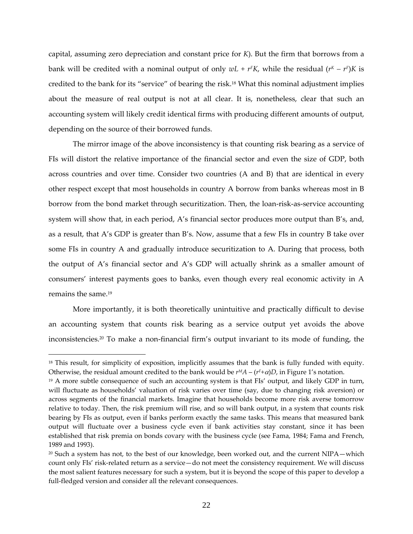capital, assuming zero depreciation and constant price for *K*). But the firm that borrows from a bank will be credited with a nominal output of only  $wL + rFK$ , while the residual  $(rK - rF)K$  is credited to the bank for its "service" of bearing the risk.18 What this nominal adjustment implies about the measure of real output is not at all clear. It is, nonetheless, clear that such an accounting system will likely credit identical firms with producing different amounts of output, depending on the source of their borrowed funds.

The mirror image of the above inconsistency is that counting risk bearing as a service of FIs will distort the relative importance of the financial sector and even the size of GDP, both across countries and over time. Consider two countries (A and B) that are identical in every other respect except that most households in country A borrow from banks whereas most in B borrow from the bond market through securitization. Then, the loan-risk-as-service accounting system will show that, in each period, A's financial sector produces more output than B's, and, as a result, that A's GDP is greater than B's. Now, assume that a few FIs in country B take over some FIs in country A and gradually introduce securitization to A. During that process, both the output of A's financial sector and A's GDP will actually shrink as a smaller amount of consumers' interest payments goes to banks, even though every real economic activity in A remains the same.19

More importantly, it is both theoretically unintuitive and practically difficult to devise an accounting system that counts risk bearing as a service output yet avoids the above inconsistencies.20 To make a non‐financial firm's output invariant to its mode of funding, the

<sup>&</sup>lt;sup>18</sup> This result, for simplicity of exposition, implicitly assumes that the bank is fully funded with equity. Otherwise, the residual amount credited to the bank would be  $r<sup>M</sup>A - (r<sup>F</sup>+ \alpha)D$ , in Figure 1's notation.

<sup>&</sup>lt;sup>19</sup> A more subtle consequence of such an accounting system is that FIs' output, and likely GDP in turn, will fluctuate as households' valuation of risk varies over time (say, due to changing risk aversion) or across segments of the financial markets. Imagine that households become more risk averse tomorrow relative to today. Then, the risk premium will rise, and so will bank output, in a system that counts risk bearing by FIs as output, even if banks perform exactly the same tasks. This means that measured bank output will fluctuate over a business cycle even if bank activities stay constant, since it has been established that risk premia on bonds covary with the business cycle (see Fama, 1984; Fama and French, 1989 and 1993).

 $20$  Such a system has not, to the best of our knowledge, been worked out, and the current NIPA—which count only FIs' risk-related return as a service-do not meet the consistency requirement. We will discuss the most salient features necessary for such a system, but it is beyond the scope of this paper to develop a full-fledged version and consider all the relevant consequences.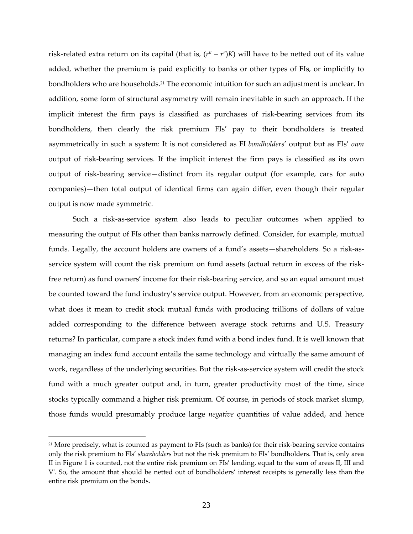risk-related extra return on its capital (that is,  $(r<sup>K</sup> - r<sup>F</sup>)K$ ) will have to be netted out of its value added, whether the premium is paid explicitly to banks or other types of FIs, or implicitly to bondholders who are households.21 The economic intuition for such an adjustment is unclear. In addition, some form of structural asymmetry will remain inevitable in such an approach. If the implicit interest the firm pays is classified as purchases of risk-bearing services from its bondholders, then clearly the risk premium FIs' pay to their bondholders is treated asymmetrically in such a system: It is not considered as FI *bondholders*' output but as FIs' *own* output of risk‐bearing services. If the implicit interest the firm pays is classified as its own output of risk‐bearing service—distinct from its regular output (for example, cars for auto companies)—then total output of identical firms can again differ, even though their regular output is now made symmetric.

Such a risk‐as‐service system also leads to peculiar outcomes when applied to measuring the output of FIs other than banks narrowly defined. Consider, for example, mutual funds. Legally, the account holders are owners of a fund's assets—shareholders. So a risk-asservice system will count the risk premium on fund assets (actual return in excess of the riskfree return) as fund owners' income for their risk-bearing service, and so an equal amount must be counted toward the fund industry's service output. However, from an economic perspective, what does it mean to credit stock mutual funds with producing trillions of dollars of value added corresponding to the difference between average stock returns and U.S. Treasury returns? In particular, compare a stock index fund with a bond index fund. It is well known that managing an index fund account entails the same technology and virtually the same amount of work, regardless of the underlying securities. But the risk‐as‐service system will credit the stock fund with a much greater output and, in turn, greater productivity most of the time, since stocks typically command a higher risk premium. Of course, in periods of stock market slump, those funds would presumably produce large *negative* quantities of value added, and hence

 $21$  More precisely, what is counted as payment to FIs (such as banks) for their risk-bearing service contains only the risk premium to FIs' *shareholders* but not the risk premium to FIs' bondholders. That is, only area II in Figure 1 is counted, not the entire risk premium on FIs' lending, equal to the sum of areas II, III and Vʹ. So, the amount that should be netted out of bondholders' interest receipts is generally less than the entire risk premium on the bonds.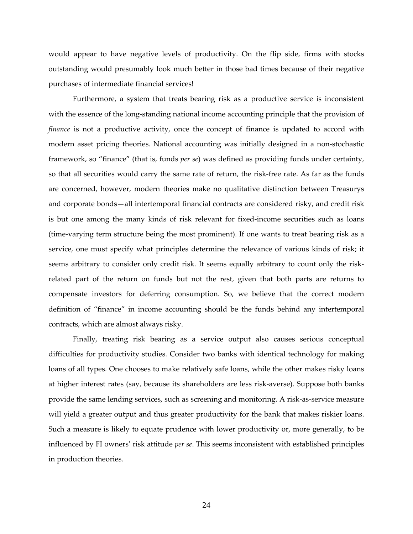would appear to have negative levels of productivity. On the flip side, firms with stocks outstanding would presumably look much better in those bad times because of their negative purchases of intermediate financial services!

Furthermore, a system that treats bearing risk as a productive service is inconsistent with the essence of the long-standing national income accounting principle that the provision of *finance* is not a productive activity, once the concept of finance is updated to accord with modern asset pricing theories. National accounting was initially designed in a non-stochastic framework, so "finance" (that is, funds *per se*) was defined as providing funds under certainty, so that all securities would carry the same rate of return, the risk-free rate. As far as the funds are concerned, however, modern theories make no qualitative distinction between Treasurys and corporate bonds—all intertemporal financial contracts are considered risky, and credit risk is but one among the many kinds of risk relevant for fixed-income securities such as loans (time‐varying term structure being the most prominent). If one wants to treat bearing risk as a service, one must specify what principles determine the relevance of various kinds of risk; it seems arbitrary to consider only credit risk. It seems equally arbitrary to count only the riskrelated part of the return on funds but not the rest, given that both parts are returns to compensate investors for deferring consumption. So, we believe that the correct modern definition of "finance" in income accounting should be the funds behind any intertemporal contracts, which are almost always risky.

Finally, treating risk bearing as a service output also causes serious conceptual difficulties for productivity studies. Consider two banks with identical technology for making loans of all types. One chooses to make relatively safe loans, while the other makes risky loans at higher interest rates (say, because its shareholders are less risk‐averse). Suppose both banks provide the same lending services, such as screening and monitoring. A risk‐as‐service measure will yield a greater output and thus greater productivity for the bank that makes riskier loans. Such a measure is likely to equate prudence with lower productivity or, more generally, to be influenced by FI owners' risk attitude *per se*. This seems inconsistent with established principles in production theories.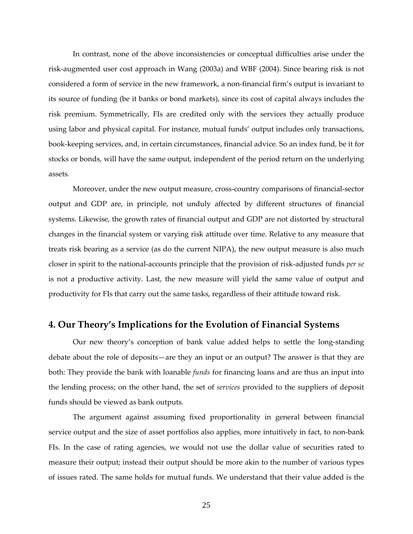In contrast, none of the above inconsistencies or conceptual difficulties arise under the risk‐augmented user cost approach in Wang (2003a) and WBF (2004). Since bearing risk is not considered a form of service in the new framework, a non‐financial firm's output is invariant to its source of funding (be it banks or bond markets), since its cost of capital always includes the risk premium. Symmetrically, FIs are credited only with the services they actually produce using labor and physical capital. For instance, mutual funds' output includes only transactions, book‐keeping services, and, in certain circumstances, financial advice. So an index fund, be it for stocks or bonds, will have the same output, independent of the period return on the underlying assets.

Moreover, under the new output measure, cross‐country comparisons of financial‐sector output and GDP are, in principle, not unduly affected by different structures of financial systems. Likewise, the growth rates of financial output and GDP are not distorted by structural changes in the financial system or varying risk attitude over time. Relative to any measure that treats risk bearing as a service (as do the current NIPA), the new output measure is also much closer in spirit to the national‐accounts principle that the provision of risk‐adjusted funds *per se* is not a productive activity. Last, the new measure will yield the same value of output and productivity for FIs that carry out the same tasks, regardless of their attitude toward risk.

### **4. Our Theory's Implications for the Evolution of Financial Systems**

Our new theory's conception of bank value added helps to settle the long‐standing debate about the role of deposits—are they an input or an output? The answer is that they are both: They provide the bank with loanable *funds* for financing loans and are thus an input into the lending process; on the other hand, the set of *services* provided to the suppliers of deposit funds should be viewed as bank outputs.

The argument against assuming fixed proportionality in general between financial service output and the size of asset portfolios also applies, more intuitively in fact, to non-bank FIs. In the case of rating agencies, we would not use the dollar value of securities rated to measure their output; instead their output should be more akin to the number of various types of issues rated. The same holds for mutual funds. We understand that their value added is the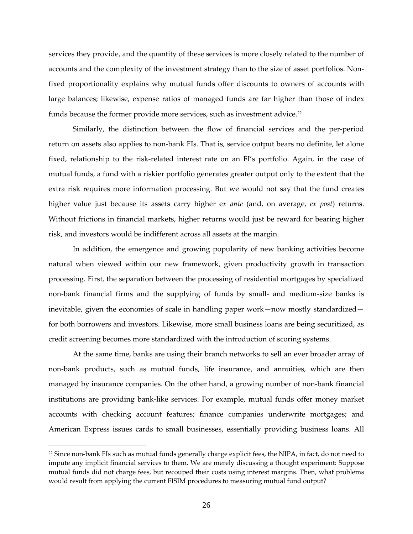services they provide, and the quantity of these services is more closely related to the number of accounts and the complexity of the investment strategy than to the size of asset portfolios. Non‐ fixed proportionality explains why mutual funds offer discounts to owners of accounts with large balances; likewise, expense ratios of managed funds are far higher than those of index funds because the former provide more services, such as investment advice.<sup>22</sup>

Similarly, the distinction between the flow of financial services and the per‐period return on assets also applies to non‐bank FIs. That is, service output bears no definite, let alone fixed, relationship to the risk-related interest rate on an FI's portfolio. Again, in the case of mutual funds, a fund with a riskier portfolio generates greater output only to the extent that the extra risk requires more information processing. But we would not say that the fund creates higher value just because its assets carry higher e*x ante* (and, on average, *ex post*) returns. Without frictions in financial markets, higher returns would just be reward for bearing higher risk, and investors would be indifferent across all assets at the margin.

In addition, the emergence and growing popularity of new banking activities become natural when viewed within our new framework, given productivity growth in transaction processing. First, the separation between the processing of residential mortgages by specialized non-bank financial firms and the supplying of funds by small- and medium-size banks is inevitable, given the economies of scale in handling paper work—now mostly standardized for both borrowers and investors. Likewise, more small business loans are being securitized, as credit screening becomes more standardized with the introduction of scoring systems.

At the same time, banks are using their branch networks to sell an ever broader array of non‐bank products, such as mutual funds, life insurance, and annuities, which are then managed by insurance companies. On the other hand, a growing number of non-bank financial institutions are providing bank‐like services. For example, mutual funds offer money market accounts with checking account features; finance companies underwrite mortgages; and American Express issues cards to small businesses, essentially providing business loans. All

<sup>&</sup>lt;sup>22</sup> Since non-bank FIs such as mutual funds generally charge explicit fees, the NIPA, in fact, do not need to impute any implicit financial services to them. We are merely discussing a thought experiment: Suppose mutual funds did not charge fees, but recouped their costs using interest margins. Then, what problems would result from applying the current FISIM procedures to measuring mutual fund output?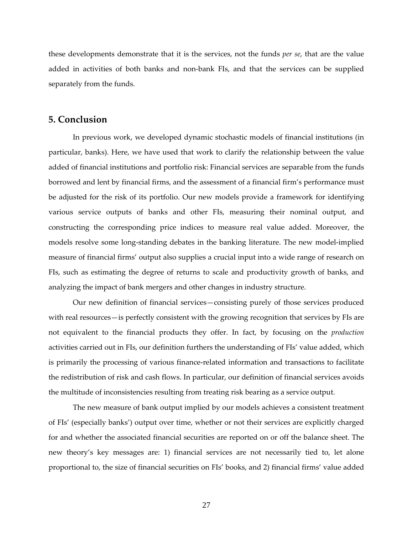these developments demonstrate that it is the services, not the funds *per se*, that are the value added in activities of both banks and non‐bank FIs, and that the services can be supplied separately from the funds.

#### **5. Conclusion**

In previous work, we developed dynamic stochastic models of financial institutions (in particular, banks). Here, we have used that work to clarify the relationship between the value added of financial institutions and portfolio risk: Financial services are separable from the funds borrowed and lent by financial firms, and the assessment of a financial firm's performance must be adjusted for the risk of its portfolio. Our new models provide a framework for identifying various service outputs of banks and other FIs, measuring their nominal output, and constructing the corresponding price indices to measure real value added. Moreover, the models resolve some long-standing debates in the banking literature. The new model-implied measure of financial firms' output also supplies a crucial input into a wide range of research on FIs, such as estimating the degree of returns to scale and productivity growth of banks, and analyzing the impact of bank mergers and other changes in industry structure.

Our new definition of financial services—consisting purely of those services produced with real resources—is perfectly consistent with the growing recognition that services by FIs are not equivalent to the financial products they offer. In fact, by focusing on the *production* activities carried out in FIs, our definition furthers the understanding of FIs' value added, which is primarily the processing of various finance-related information and transactions to facilitate the redistribution of risk and cash flows. In particular, our definition of financial services avoids the multitude of inconsistencies resulting from treating risk bearing as a service output.

The new measure of bank output implied by our models achieves a consistent treatment of FIs' (especially banks') output over time, whether or not their services are explicitly charged for and whether the associated financial securities are reported on or off the balance sheet. The new theory's key messages are: 1) financial services are not necessarily tied to, let alone proportional to, the size of financial securities on FIs' books, and 2) financial firms' value added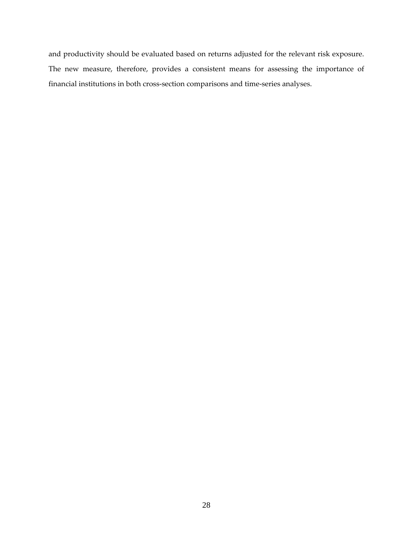and productivity should be evaluated based on returns adjusted for the relevant risk exposure. The new measure, therefore, provides a consistent means for assessing the importance of financial institutions in both cross‐section comparisons and time‐series analyses.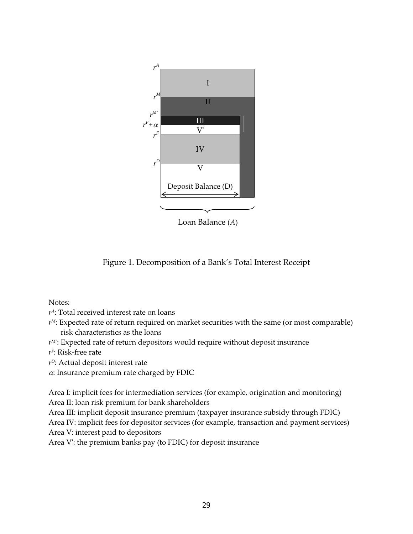

Loan Balance (*A*)

Figure 1. Decomposition of a Bank's Total Interest Receipt

Notes:

*rA*: Total received interest rate on loans

- $r^M$ : Expected rate of return required on market securities with the same (or most comparable) risk characteristics as the loans
- *rM<sup>ʹ</sup>* : Expected rate of return depositors would require without deposit insurance
- *rF*: Risk‐free rate
- *rD*: Actual deposit interest rate

 $\alpha$ : Insurance premium rate charged by FDIC

Area I: implicit fees for intermediation services (for example, origination and monitoring) Area II: loan risk premium for bank shareholders

Area III: implicit deposit insurance premium (taxpayer insurance subsidy through FDIC)

Area IV: implicit fees for depositor services (for example, transaction and payment services) Area V: interest paid to depositors

Area V: the premium banks pay (to FDIC) for deposit insurance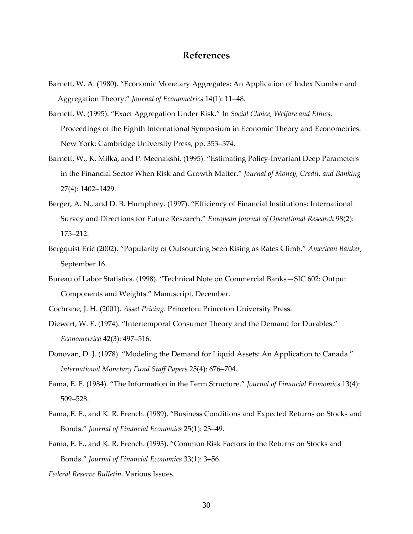# **References**

- Barnett, W. A. (1980). "Economic Monetary Aggregates: An Application of Index Number and Aggregation Theory." *Journal of Econometrics* 14(1): 11–48.
- Barnett, W. (1995). "Exact Aggregation Under Risk." In *Social Choice, Welfare and Ethics*, Proceedings of the Eighth International Symposium in Economic Theory and Econometrics. New York: Cambridge University Press, pp. 353–374.
- Barnett, W., K. Milka, and P. Meenakshi. (1995). "Estimating Policy‐Invariant Deep Parameters in the Financial Sector When Risk and Growth Matter." *Journal of Money, Credit, and Banking* 27(4): 1402–1429.
- Berger, A. N., and D. B. Humphrey. (1997). "Efficiency of Financial Institutions: International Survey and Directions for Future Research." *European Journal of Operational Research* 98(2): 175–212.
- Bergquist Eric (2002). "Popularity of Outsourcing Seen Rising as Rates Climb," *American Banker*, September 16.
- Bureau of Labor Statistics. (1998). "Technical Note on Commercial Banks—SIC 602: Output Components and Weights." Manuscript, December.
- Cochrane, J. H. (2001). *Asset Pricing*. Princeton: Princeton University Press.
- Diewert, W. E. (1974). "Intertemporal Consumer Theory and the Demand for Durables." *Econometrica* 42(3): 497–516.
- Donovan, D. J. (1978). "Modeling the Demand for Liquid Assets: An Application to Canada." *International Monetary Fund Staff Papers* 25(4): 676–704.
- Fama, E. F. (1984). "The Information in the Term Structure." *Journal of Financial Economics* 13(4): 509–528.
- Fama, E. F., and K. R. French. (1989). "Business Conditions and Expected Returns on Stocks and Bonds." *Journal of Financial Economics* 25(1): 23–49.
- Fama, E. F., and K. R. French. (1993). "Common Risk Factors in the Returns on Stocks and Bonds." *Journal of Financial Economics* 33(1): 3–56.
- *Federal Reserve Bulletin*. Various Issues.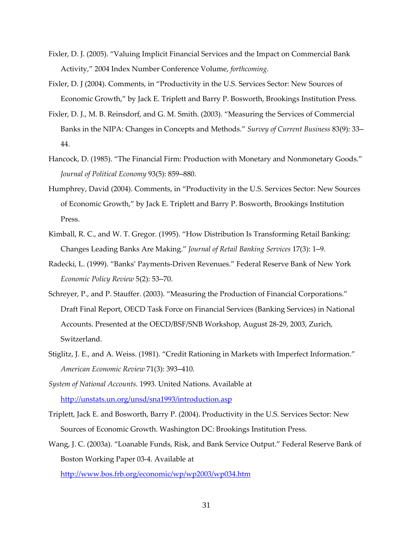- Fixler, D. J. (2005). "Valuing Implicit Financial Services and the Impact on Commercial Bank Activity," 2004 Index Number Conference Volume, *forthcoming*.
- Fixler, D. J (2004). Comments, in "Productivity in the U.S. Services Sector: New Sources of Economic Growth," by Jack E. Triplett and Barry P. Bosworth, Brookings Institution Press.
- Fixler, D. J., M. B. Reinsdorf, and G. M. Smith. (2003). "Measuring the Services of Commercial Banks in the NIPA: Changes in Concepts and Methods." *Survey of Current Business* 83(9): 33– 44.
- Hancock, D. (1985). "The Financial Firm: Production with Monetary and Nonmonetary Goods." *Journal of Political Economy* 93(5): 859–880.
- Humphrey, David (2004). Comments, in "Productivity in the U.S. Services Sector: New Sources of Economic Growth," by Jack E. Triplett and Barry P. Bosworth, Brookings Institution Press.
- Kimball, R. C., and W. T. Gregor. (1995). "How Distribution Is Transforming Retail Banking: Changes Leading Banks Are Making." *Journal of Retail Banking Services* 17(3): 1–9.
- Radecki, L. (1999). "Banks' Payments‐Driven Revenues." Federal Reserve Bank of New York *Economic Policy Review* 5(2): 53–70.
- Schreyer, P., and P. Stauffer. (2003). "Measuring the Production of Financial Corporations." Draft Final Report, OECD Task Force on Financial Services (Banking Services) in National Accounts. Presented at the OECD/BSF/SNB Workshop, August 28‐29, 2003, Zurich, Switzerland.
- Stiglitz, J. E., and A. Weiss. (1981). "Credit Rationing in Markets with Imperfect Information." *American Economic Review* 71(3): 393–410.

*System of National Accounts*. 1993. United Nations. Available at http://unstats.un.org/unsd/sna1993/introduction.asp

- Triplett, Jack E. and Bosworth, Barry P. (2004). Productivity in the U.S. Services Sector: New Sources of Economic Growth. Washington DC: Brookings Institution Press.
- Wang, J. C. (2003a). "Loanable Funds, Risk, and Bank Service Output." Federal Reserve Bank of Boston Working Paper 03‐4. Available at http://www.bos.frb.org/economic/wp/wp2003/wp034.htm